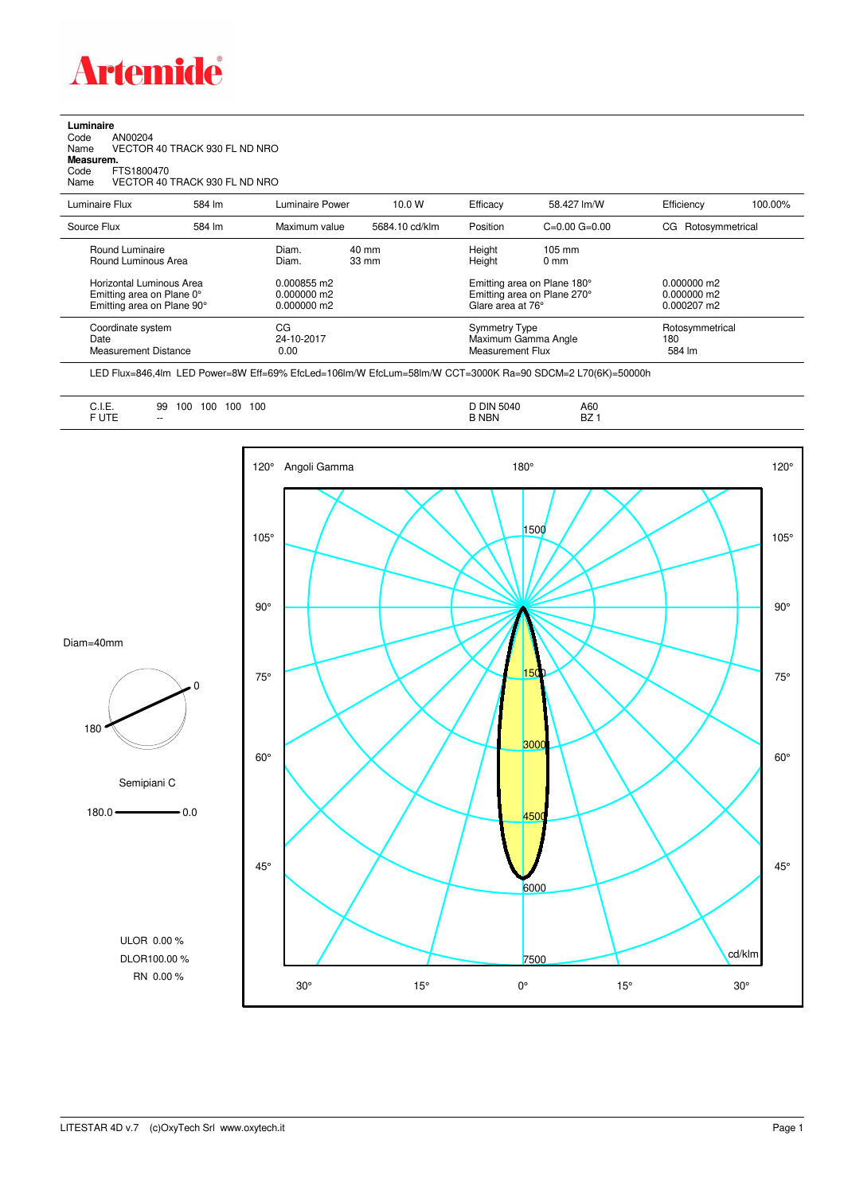

## **Luminaire**

| Code      | AN00204                       |
|-----------|-------------------------------|
| Name      | VECTOR 40 TRACK 930 FL ND NRO |
| Measurem. |                               |
| Code      | FTS1800470                    |
| Name      | VECTOR 40 TRACK 930 FL ND NRO |

Luminaire Flux 584 lm Luminaire Power 10.0 W Efficacy 58.427 lm/W Efficiency 100.00% Source Flux 584 lm Maximum value 5684.10 cd/klm Position C=0.00 G=0.00 CG Rotosymmetrical Round Luminaire Diam. 40 mm Height 105 mm Round Luminous Area Horizontal Luminous Area 0.000855 m2 Emitting area on Plane 180° 0.000000 m2<br>Emitting area on Plane 0° 0.000000 m2 Emitting area on Plane 270° 0.000000 m2 Emitting area on Plane 0° 0.000000 m2<br>
Emitting area on Plane 90° 0.000000 m2<br>
Emitting area on Plane 90° 0.000000 m2 Glare area at 76° 0.000207 m2 Coordinate system CG CG CG CG CG Symmetry Type Symmetry Type Rotosymmetrical<br>
24-10-2017 Maximum Gamma Angle 180 Date 24-10-2017 Maximum Gamma Angle 180 Measurement Distance

LED Flux=846,4lm LED Power=8W Eff=69% EfcLed=106lm/W EfcLum=58lm/W CCT=3000K Ra=90 SDCM=2 L70(6K)=50000h